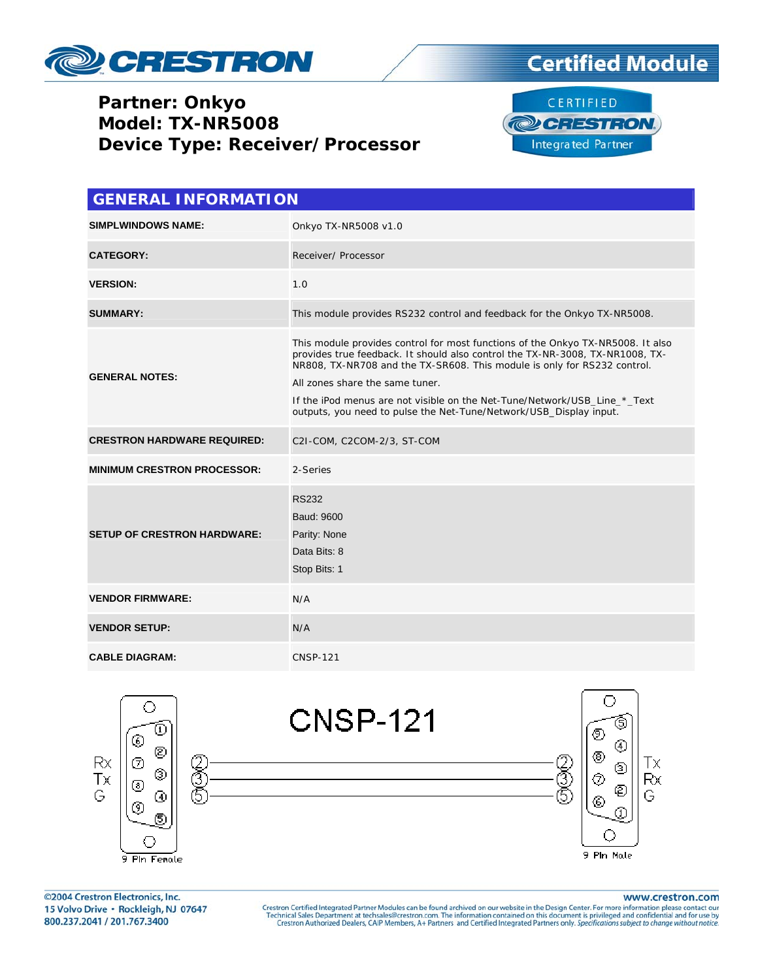

### **Partner: Onkyo Model: TX-NR5008 Device Type: Receiver/Processor**





| <b>GENERAL INFORMATION</b>         |                                                                                                                                                                                                                                                                                                                                                                                                                                    |  |  |
|------------------------------------|------------------------------------------------------------------------------------------------------------------------------------------------------------------------------------------------------------------------------------------------------------------------------------------------------------------------------------------------------------------------------------------------------------------------------------|--|--|
| <b>SIMPLWINDOWS NAME:</b>          | Onkyo TX-NR5008 v1.0                                                                                                                                                                                                                                                                                                                                                                                                               |  |  |
| <b>CATEGORY:</b>                   | Receiver/ Processor                                                                                                                                                                                                                                                                                                                                                                                                                |  |  |
| <b>VERSION:</b>                    | 1.0                                                                                                                                                                                                                                                                                                                                                                                                                                |  |  |
| <b>SUMMARY:</b>                    | This module provides RS232 control and feedback for the Onkyo TX-NR5008.                                                                                                                                                                                                                                                                                                                                                           |  |  |
| <b>GENERAL NOTES:</b>              | This module provides control for most functions of the Onkyo TX-NR5008. It also<br>provides true feedback. It should also control the TX-NR-3008, TX-NR1008, TX-<br>NR808, TX-NR708 and the TX-SR608. This module is only for RS232 control.<br>All zones share the same tuner.<br>If the iPod menus are not visible on the Net-Tune/Network/USB_Line_*_Text<br>outputs, you need to pulse the Net-Tune/Network/USB_Display input. |  |  |
| <b>CRESTRON HARDWARE REQUIRED:</b> | C2I-COM, C2COM-2/3, ST-COM                                                                                                                                                                                                                                                                                                                                                                                                         |  |  |
| <b>MINIMUM CRESTRON PROCESSOR:</b> | 2-Series                                                                                                                                                                                                                                                                                                                                                                                                                           |  |  |
| <b>SETUP OF CRESTRON HARDWARE:</b> | <b>RS232</b><br>Baud: 9600<br>Parity: None<br>Data Bits: 8<br>Stop Bits: 1                                                                                                                                                                                                                                                                                                                                                         |  |  |
| <b>VENDOR FIRMWARE:</b>            | N/A                                                                                                                                                                                                                                                                                                                                                                                                                                |  |  |
| <b>VENDOR SETUP:</b>               | N/A                                                                                                                                                                                                                                                                                                                                                                                                                                |  |  |
| <b>CABLE DIAGRAM:</b>              | <b>CNSP-121</b>                                                                                                                                                                                                                                                                                                                                                                                                                    |  |  |



©2004 Crestron Electronics, Inc. 15 Volvo Drive · Rockleigh, NJ 07647 800.237.2041 / 201.767.3400

www.crestron.com

Crestron Certified Integrated Partner Modules can be found archived on our website in the Design Center. For more information please contact our Technical Sales Department at techsales@crestron.com. The information contain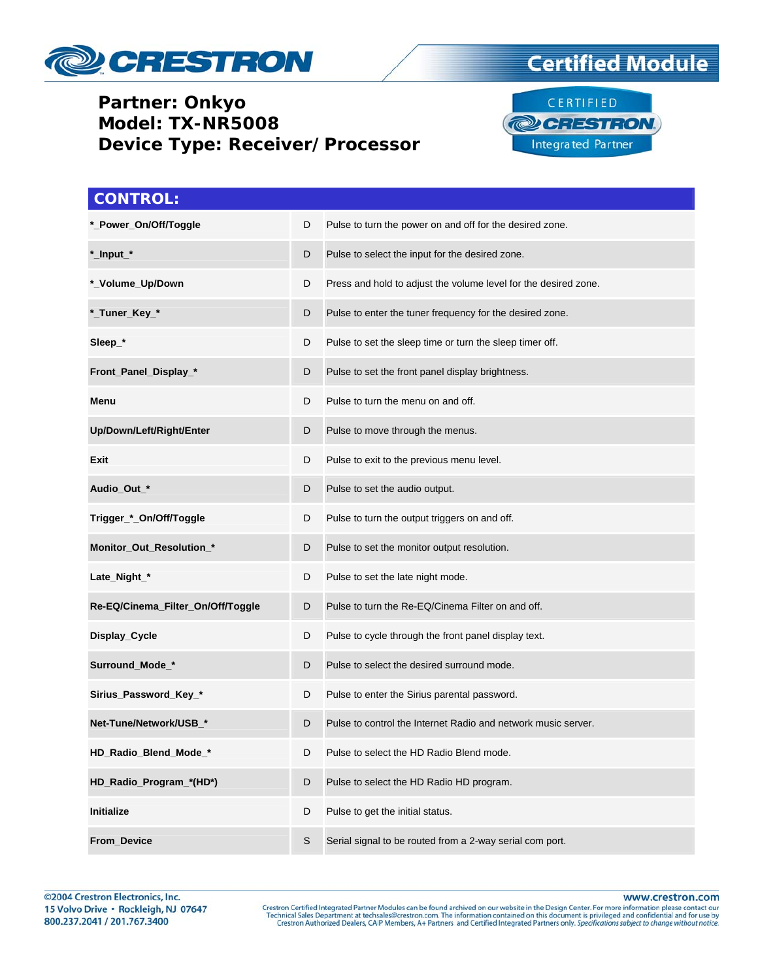

### **Partner: Onkyo Model: TX-NR5008 Device Type: Receiver/Processor**





| <b>CONTROL:</b>                   |             |                                                                 |
|-----------------------------------|-------------|-----------------------------------------------------------------|
| *_Power_On/Off/Toggle             | D           | Pulse to turn the power on and off for the desired zone.        |
| *_Input_*                         | D           | Pulse to select the input for the desired zone.                 |
| *_Volume_Up/Down                  | D           | Press and hold to adjust the volume level for the desired zone. |
| *_Tuner_Key_*                     | D           | Pulse to enter the tuner frequency for the desired zone.        |
| Sleep_*                           | D           | Pulse to set the sleep time or turn the sleep timer off.        |
| Front_Panel_Display_*             | D           | Pulse to set the front panel display brightness.                |
| Menu                              | D           | Pulse to turn the menu on and off.                              |
| Up/Down/Left/Right/Enter          | D           | Pulse to move through the menus.                                |
| Exit                              | D           | Pulse to exit to the previous menu level.                       |
| Audio_Out_*                       | D           | Pulse to set the audio output.                                  |
| Trigger_*_On/Off/Toggle           | D           | Pulse to turn the output triggers on and off.                   |
| Monitor_Out_Resolution_*          | D           | Pulse to set the monitor output resolution.                     |
| Late_Night_*                      | D           | Pulse to set the late night mode.                               |
| Re-EQ/Cinema_Filter_On/Off/Toggle | D           | Pulse to turn the Re-EQ/Cinema Filter on and off.               |
| Display_Cycle                     | D           | Pulse to cycle through the front panel display text.            |
| Surround_Mode_*                   | D           | Pulse to select the desired surround mode.                      |
| Sirius_Password_Key_*             | D           | Pulse to enter the Sirius parental password.                    |
| Net-Tune/Network/USB *            | D           | Pulse to control the Internet Radio and network music server.   |
| HD_Radio_Blend_Mode_*             | D           | Pulse to select the HD Radio Blend mode.                        |
| HD_Radio_Program_*(HD*)           | D           | Pulse to select the HD Radio HD program.                        |
| Initialize                        | D           | Pulse to get the initial status.                                |
| <b>From Device</b>                | $\mathbb S$ | Serial signal to be routed from a 2-way serial com port.        |

www.crestron.com

Crestron Certified Integrated Partner Modules can be found archived on our website in the Design Center. For more information please contact our Technical Sales Department at techsales@crestron.com. The information contain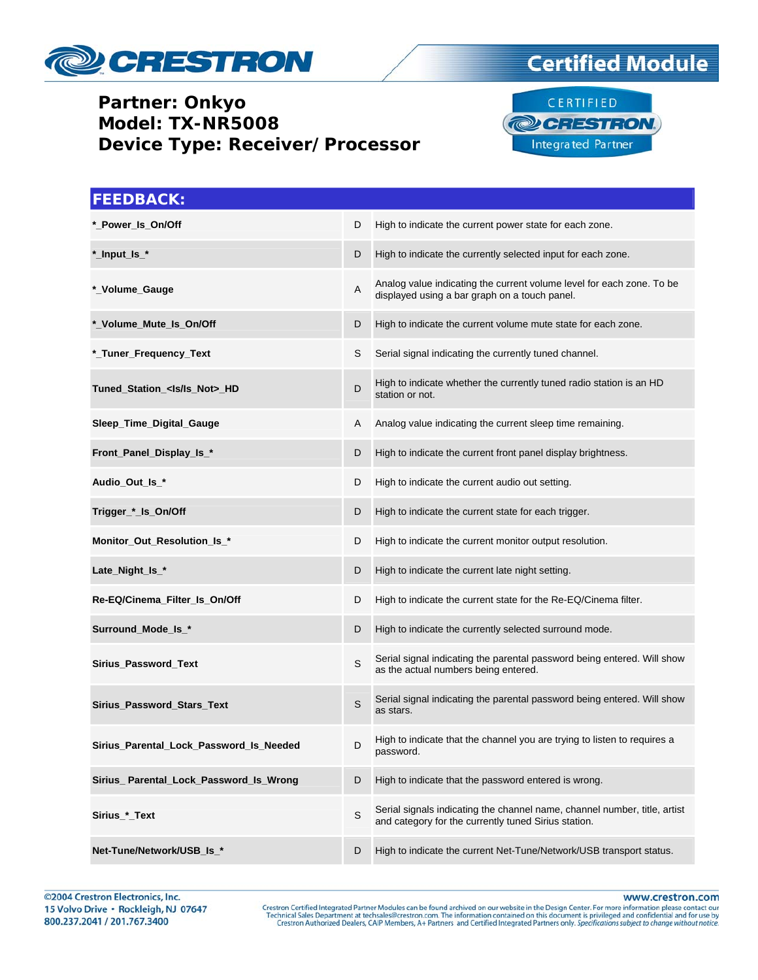

### Partner: Onkyo Model: TX-NR5008 **Device Type: Receiver/Processor**

# **Certified Module**



| <b>FEEDBACK:</b>                        |   |                                                                                                                                   |
|-----------------------------------------|---|-----------------------------------------------------------------------------------------------------------------------------------|
| *_Power_Is_On/Off                       | D | High to indicate the current power state for each zone.                                                                           |
| *_Input_Is_*                            | D | High to indicate the currently selected input for each zone.                                                                      |
| *_Volume_Gauge                          | Α | Analog value indicating the current volume level for each zone. To be<br>displayed using a bar graph on a touch panel.            |
| *_Volume_Mute_Is_On/Off                 | D | High to indicate the current volume mute state for each zone.                                                                     |
| *_Tuner_Frequency_Text                  | S | Serial signal indicating the currently tuned channel.                                                                             |
| Tuned_Station_ <ls ls_not="">_HD</ls>   | D | High to indicate whether the currently tuned radio station is an HD<br>station or not.                                            |
| Sleep_Time_Digital_Gauge                | A | Analog value indicating the current sleep time remaining.                                                                         |
| Front_Panel_Display_Is_*                | D | High to indicate the current front panel display brightness.                                                                      |
| Audio_Out_ls_*                          | D | High to indicate the current audio out setting.                                                                                   |
| Trigger_*_Is_On/Off                     | D | High to indicate the current state for each trigger.                                                                              |
| Monitor_Out_Resolution_Is_*             | D | High to indicate the current monitor output resolution.                                                                           |
| Late_Night_ls_*                         | D | High to indicate the current late night setting.                                                                                  |
| Re-EQ/Cinema_Filter_Is_On/Off           | D | High to indicate the current state for the Re-EQ/Cinema filter.                                                                   |
| Surround_Mode_Is_*                      | D | High to indicate the currently selected surround mode.                                                                            |
| Sirius_Password_Text                    | S | Serial signal indicating the parental password being entered. Will show<br>as the actual numbers being entered.                   |
| Sirius_Password_Stars_Text              | S | Serial signal indicating the parental password being entered. Will show<br>as stars.                                              |
| Sirius Parental Lock Password Is Needed | D | High to indicate that the channel you are trying to listen to requires a<br>password.                                             |
| Sirius_Parental_Lock_Password_Is_Wrong  | D | High to indicate that the password entered is wrong.                                                                              |
| Sirius_*_Text                           | S | Serial signals indicating the channel name, channel number, title, artist<br>and category for the currently tuned Sirius station. |
| Net-Tune/Network/USB_Is_*               | D | High to indicate the current Net-Tune/Network/USB transport status.                                                               |

www.crestron.com

Crestron Certified Integrated Partner Modules can be found archived on our website in the Design Center. For more information please contact our Technical Sales Department at techsales@crestron.com. The information contain